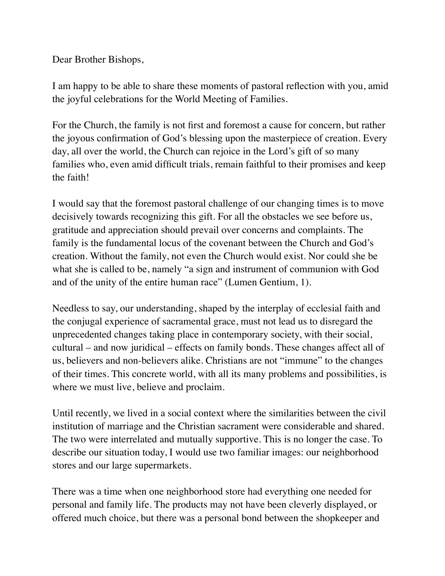Dear Brother Bishops,

I am happy to be able to share these moments of pastoral reflection with you, amid the joyful celebrations for the World Meeting of Families.

For the Church, the family is not first and foremost a cause for concern, but rather the joyous confirmation of God's blessing upon the masterpiece of creation. Every day, all over the world, the Church can rejoice in the Lord's gift of so many families who, even amid difficult trials, remain faithful to their promises and keep the faith!

I would say that the foremost pastoral challenge of our changing times is to move decisively towards recognizing this gift. For all the obstacles we see before us, gratitude and appreciation should prevail over concerns and complaints. The family is the fundamental locus of the covenant between the Church and God's creation. Without the family, not even the Church would exist. Nor could she be what she is called to be, namely "a sign and instrument of communion with God and of the unity of the entire human race" (Lumen Gentium, 1).

Needless to say, our understanding, shaped by the interplay of ecclesial faith and the conjugal experience of sacramental grace, must not lead us to disregard the unprecedented changes taking place in contemporary society, with their social, cultural – and now juridical – effects on family bonds. These changes affect all of us, believers and non-believers alike. Christians are not "immune" to the changes of their times. This concrete world, with all its many problems and possibilities, is where we must live, believe and proclaim.

Until recently, we lived in a social context where the similarities between the civil institution of marriage and the Christian sacrament were considerable and shared. The two were interrelated and mutually supportive. This is no longer the case. To describe our situation today, I would use two familiar images: our neighborhood stores and our large supermarkets.

There was a time when one neighborhood store had everything one needed for personal and family life. The products may not have been cleverly displayed, or offered much choice, but there was a personal bond between the shopkeeper and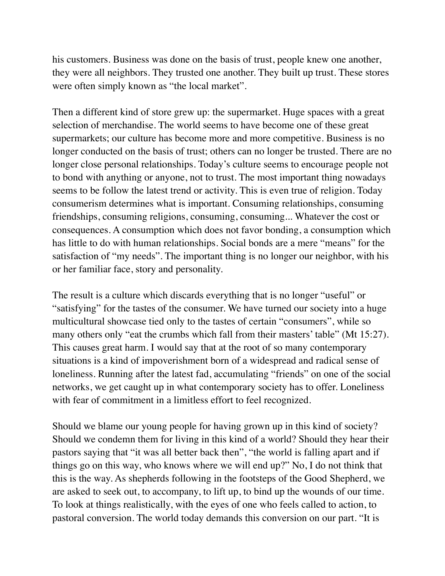his customers. Business was done on the basis of trust, people knew one another, they were all neighbors. They trusted one another. They built up trust. These stores were often simply known as "the local market".

Then a different kind of store grew up: the supermarket. Huge spaces with a great selection of merchandise. The world seems to have become one of these great supermarkets; our culture has become more and more competitive. Business is no longer conducted on the basis of trust; others can no longer be trusted. There are no longer close personal relationships. Today's culture seems to encourage people not to bond with anything or anyone, not to trust. The most important thing nowadays seems to be follow the latest trend or activity. This is even true of religion. Today consumerism determines what is important. Consuming relationships, consuming friendships, consuming religions, consuming, consuming... Whatever the cost or consequences. A consumption which does not favor bonding, a consumption which has little to do with human relationships. Social bonds are a mere "means" for the satisfaction of "my needs". The important thing is no longer our neighbor, with his or her familiar face, story and personality.

The result is a culture which discards everything that is no longer "useful" or "satisfying" for the tastes of the consumer. We have turned our society into a huge multicultural showcase tied only to the tastes of certain "consumers", while so many others only "eat the crumbs which fall from their masters' table" (Mt 15:27). This causes great harm. I would say that at the root of so many contemporary situations is a kind of impoverishment born of a widespread and radical sense of loneliness. Running after the latest fad, accumulating "friends" on one of the social networks, we get caught up in what contemporary society has to offer. Loneliness with fear of commitment in a limitless effort to feel recognized.

Should we blame our young people for having grown up in this kind of society? Should we condemn them for living in this kind of a world? Should they hear their pastors saying that "it was all better back then", "the world is falling apart and if things go on this way, who knows where we will end up?" No, I do not think that this is the way. As shepherds following in the footsteps of the Good Shepherd, we are asked to seek out, to accompany, to lift up, to bind up the wounds of our time. To look at things realistically, with the eyes of one who feels called to action, to pastoral conversion. The world today demands this conversion on our part. "It is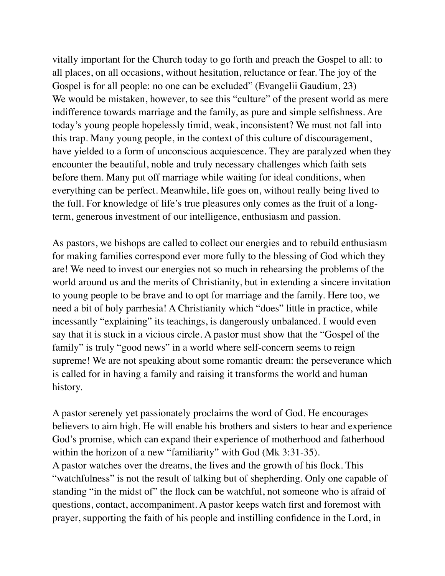vitally important for the Church today to go forth and preach the Gospel to all: to all places, on all occasions, without hesitation, reluctance or fear. The joy of the Gospel is for all people: no one can be excluded" (Evangelii Gaudium, 23) We would be mistaken, however, to see this "culture" of the present world as mere indifference towards marriage and the family, as pure and simple selfishness. Are today's young people hopelessly timid, weak, inconsistent? We must not fall into this trap. Many young people, in the context of this culture of discouragement, have yielded to a form of unconscious acquiescence. They are paralyzed when they encounter the beautiful, noble and truly necessary challenges which faith sets before them. Many put off marriage while waiting for ideal conditions, when everything can be perfect. Meanwhile, life goes on, without really being lived to the full. For knowledge of life's true pleasures only comes as the fruit of a longterm, generous investment of our intelligence, enthusiasm and passion.

As pastors, we bishops are called to collect our energies and to rebuild enthusiasm for making families correspond ever more fully to the blessing of God which they are! We need to invest our energies not so much in rehearsing the problems of the world around us and the merits of Christianity, but in extending a sincere invitation to young people to be brave and to opt for marriage and the family. Here too, we need a bit of holy parrhesia! A Christianity which "does" little in practice, while incessantly "explaining" its teachings, is dangerously unbalanced. I would even say that it is stuck in a vicious circle. A pastor must show that the "Gospel of the family" is truly "good news" in a world where self-concern seems to reign supreme! We are not speaking about some romantic dream: the perseverance which is called for in having a family and raising it transforms the world and human history.

A pastor serenely yet passionately proclaims the word of God. He encourages believers to aim high. He will enable his brothers and sisters to hear and experience God's promise, which can expand their experience of motherhood and fatherhood within the horizon of a new "familiarity" with God (Mk 3:31-35). A pastor watches over the dreams, the lives and the growth of his flock. This "watchfulness" is not the result of talking but of shepherding. Only one capable of standing "in the midst of" the flock can be watchful, not someone who is afraid of questions, contact, accompaniment. A pastor keeps watch first and foremost with prayer, supporting the faith of his people and instilling confidence in the Lord, in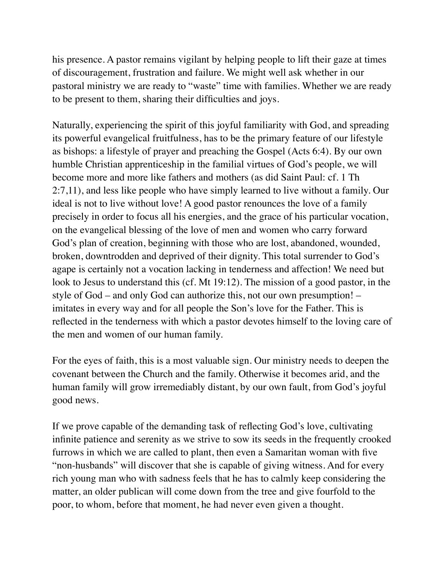his presence. A pastor remains vigilant by helping people to lift their gaze at times of discouragement, frustration and failure. We might well ask whether in our pastoral ministry we are ready to "waste" time with families. Whether we are ready to be present to them, sharing their difficulties and joys.

Naturally, experiencing the spirit of this joyful familiarity with God, and spreading its powerful evangelical fruitfulness, has to be the primary feature of our lifestyle as bishops: a lifestyle of prayer and preaching the Gospel (Acts 6:4). By our own humble Christian apprenticeship in the familial virtues of God's people, we will become more and more like fathers and mothers (as did Saint Paul: cf. 1 Th 2:7,11), and less like people who have simply learned to live without a family. Our ideal is not to live without love! A good pastor renounces the love of a family precisely in order to focus all his energies, and the grace of his particular vocation, on the evangelical blessing of the love of men and women who carry forward God's plan of creation, beginning with those who are lost, abandoned, wounded, broken, downtrodden and deprived of their dignity. This total surrender to God's agape is certainly not a vocation lacking in tenderness and affection! We need but look to Jesus to understand this (cf. Mt 19:12). The mission of a good pastor, in the style of God – and only God can authorize this, not our own presumption! – imitates in every way and for all people the Son's love for the Father. This is reflected in the tenderness with which a pastor devotes himself to the loving care of the men and women of our human family.

For the eyes of faith, this is a most valuable sign. Our ministry needs to deepen the covenant between the Church and the family. Otherwise it becomes arid, and the human family will grow irremediably distant, by our own fault, from God's joyful good news.

If we prove capable of the demanding task of reflecting God's love, cultivating infinite patience and serenity as we strive to sow its seeds in the frequently crooked furrows in which we are called to plant, then even a Samaritan woman with five "non-husbands" will discover that she is capable of giving witness. And for every rich young man who with sadness feels that he has to calmly keep considering the matter, an older publican will come down from the tree and give fourfold to the poor, to whom, before that moment, he had never even given a thought.